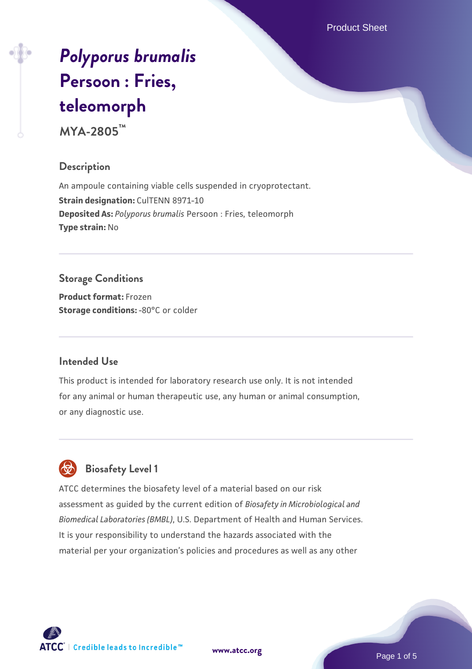Product Sheet

# *[Polyporus brumalis](https://www.atcc.org/products/mya-2805)* **[Persoon : Fries,](https://www.atcc.org/products/mya-2805) [teleomorph](https://www.atcc.org/products/mya-2805)**

**MYA-2805™**

# **Description**

An ampoule containing viable cells suspended in cryoprotectant. **Strain designation: CulTENN 8971-10 Deposited As:** *Polyporus brumalis* Persoon : Fries, teleomorph **Type strain:** No

# **Storage Conditions**

**Product format:** Frozen **Storage conditions: -80°C** or colder

## **Intended Use**

This product is intended for laboratory research use only. It is not intended for any animal or human therapeutic use, any human or animal consumption, or any diagnostic use.



# **Biosafety Level 1**

ATCC determines the biosafety level of a material based on our risk assessment as guided by the current edition of *Biosafety in Microbiological and Biomedical Laboratories (BMBL)*, U.S. Department of Health and Human Services. It is your responsibility to understand the hazards associated with the material per your organization's policies and procedures as well as any other

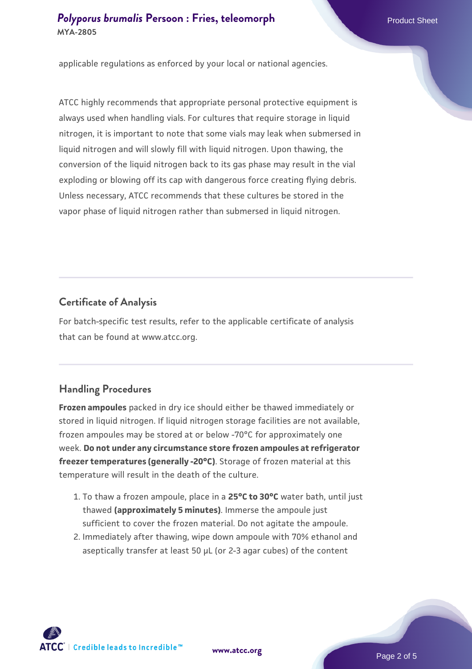## **[Polyporus brumalis](https://www.atcc.org/products/mya-2805) [Persoon : Fries, teleomorph](https://www.atcc.org/products/mya-2805)** Product Sheet **MYA-2805**

applicable regulations as enforced by your local or national agencies.

ATCC highly recommends that appropriate personal protective equipment is always used when handling vials. For cultures that require storage in liquid nitrogen, it is important to note that some vials may leak when submersed in liquid nitrogen and will slowly fill with liquid nitrogen. Upon thawing, the conversion of the liquid nitrogen back to its gas phase may result in the vial exploding or blowing off its cap with dangerous force creating flying debris. Unless necessary, ATCC recommends that these cultures be stored in the vapor phase of liquid nitrogen rather than submersed in liquid nitrogen.

#### **Certificate of Analysis**

For batch-specific test results, refer to the applicable certificate of analysis that can be found at www.atcc.org.

#### **Handling Procedures**

**Frozen ampoules** packed in dry ice should either be thawed immediately or stored in liquid nitrogen. If liquid nitrogen storage facilities are not available, frozen ampoules may be stored at or below -70°C for approximately one week. **Do not under any circumstance store frozen ampoules at refrigerator freezer temperatures (generally -20°C)**. Storage of frozen material at this temperature will result in the death of the culture.

- 1. To thaw a frozen ampoule, place in a **25°C to 30°C** water bath, until just thawed **(approximately 5 minutes)**. Immerse the ampoule just sufficient to cover the frozen material. Do not agitate the ampoule.
- 2. Immediately after thawing, wipe down ampoule with 70% ethanol and aseptically transfer at least 50 µL (or 2-3 agar cubes) of the content

 $\mathsf{ATCC}^*$   $\vdash$  Credible leads to Incredible  $\mathbb {m}$ 

**[www.atcc.org](http://www.atcc.org)**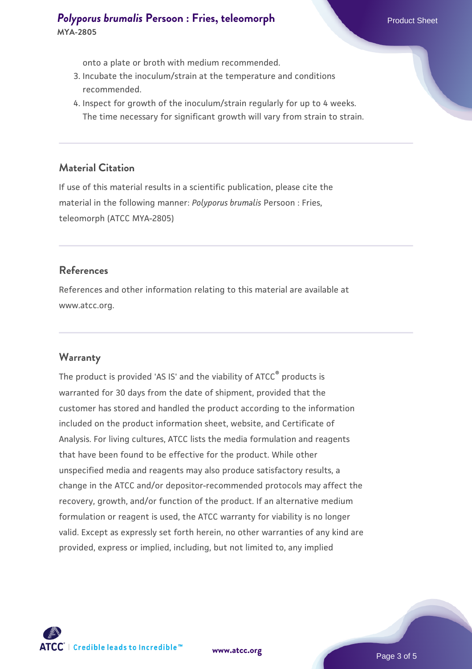# **[Polyporus brumalis](https://www.atcc.org/products/mya-2805) [Persoon : Fries, teleomorph](https://www.atcc.org/products/mya-2805)** Product Sheet **MYA-2805**

onto a plate or broth with medium recommended.

- 3. Incubate the inoculum/strain at the temperature and conditions recommended.
- 4. Inspect for growth of the inoculum/strain regularly for up to 4 weeks. The time necessary for significant growth will vary from strain to strain.

#### **Material Citation**

If use of this material results in a scientific publication, please cite the material in the following manner: *Polyporus brumalis* Persoon : Fries, teleomorph (ATCC MYA-2805)

#### **References**

References and other information relating to this material are available at www.atcc.org.

#### **Warranty**

The product is provided 'AS IS' and the viability of ATCC<sup>®</sup> products is warranted for 30 days from the date of shipment, provided that the customer has stored and handled the product according to the information included on the product information sheet, website, and Certificate of Analysis. For living cultures, ATCC lists the media formulation and reagents that have been found to be effective for the product. While other unspecified media and reagents may also produce satisfactory results, a change in the ATCC and/or depositor-recommended protocols may affect the recovery, growth, and/or function of the product. If an alternative medium formulation or reagent is used, the ATCC warranty for viability is no longer valid. Except as expressly set forth herein, no other warranties of any kind are provided, express or implied, including, but not limited to, any implied

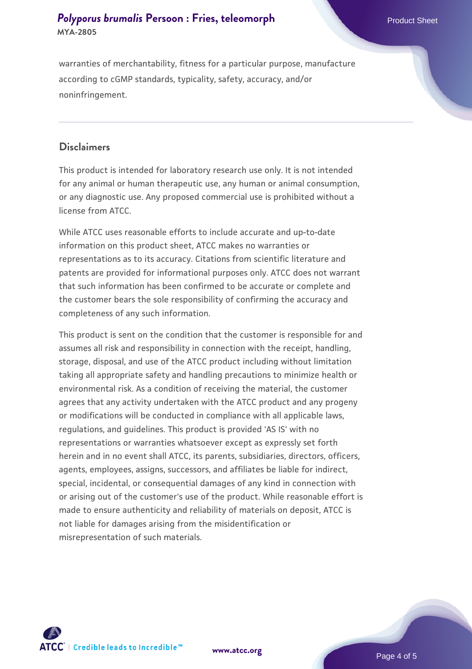# **[Polyporus brumalis](https://www.atcc.org/products/mya-2805) [Persoon : Fries, teleomorph](https://www.atcc.org/products/mya-2805)** Product Sheet **MYA-2805**

warranties of merchantability, fitness for a particular purpose, manufacture according to cGMP standards, typicality, safety, accuracy, and/or noninfringement.

#### **Disclaimers**

This product is intended for laboratory research use only. It is not intended for any animal or human therapeutic use, any human or animal consumption, or any diagnostic use. Any proposed commercial use is prohibited without a license from ATCC.

While ATCC uses reasonable efforts to include accurate and up-to-date information on this product sheet, ATCC makes no warranties or representations as to its accuracy. Citations from scientific literature and patents are provided for informational purposes only. ATCC does not warrant that such information has been confirmed to be accurate or complete and the customer bears the sole responsibility of confirming the accuracy and completeness of any such information.

This product is sent on the condition that the customer is responsible for and assumes all risk and responsibility in connection with the receipt, handling, storage, disposal, and use of the ATCC product including without limitation taking all appropriate safety and handling precautions to minimize health or environmental risk. As a condition of receiving the material, the customer agrees that any activity undertaken with the ATCC product and any progeny or modifications will be conducted in compliance with all applicable laws, regulations, and guidelines. This product is provided 'AS IS' with no representations or warranties whatsoever except as expressly set forth herein and in no event shall ATCC, its parents, subsidiaries, directors, officers, agents, employees, assigns, successors, and affiliates be liable for indirect, special, incidental, or consequential damages of any kind in connection with or arising out of the customer's use of the product. While reasonable effort is made to ensure authenticity and reliability of materials on deposit, ATCC is not liable for damages arising from the misidentification or misrepresentation of such materials.



**[www.atcc.org](http://www.atcc.org)**

Page 4 of 5